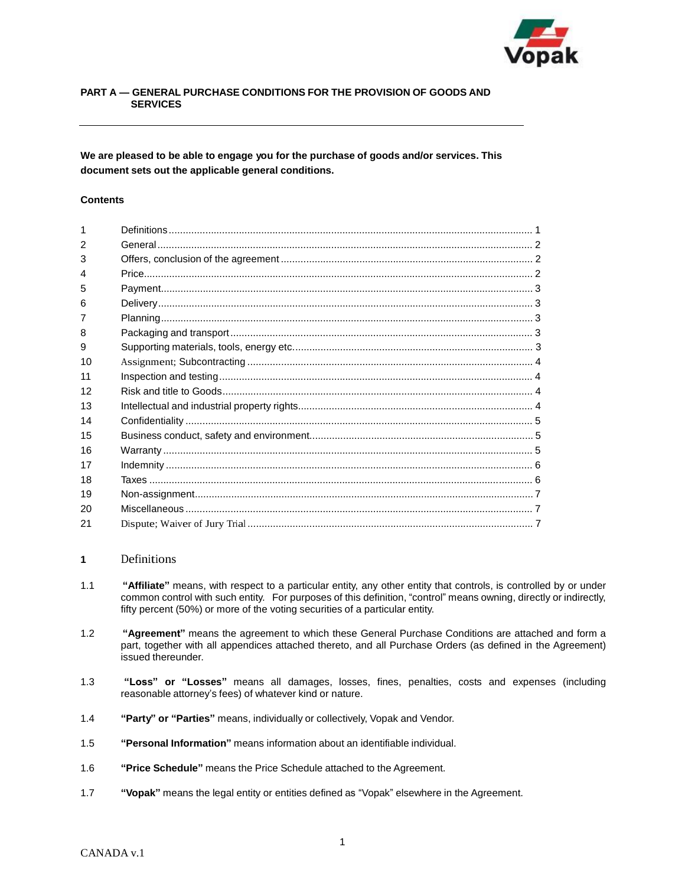

# **PART A — GENERAL PURCHASE CONDITIONS FOR THE PROVISION OF GOODS AND SERVICES**

**We are pleased to be able to engage you for the purchase of goods and/or services. This document sets out the applicable general conditions.**

#### **Contents**

| $\mathcal{P}$ |  |
|---------------|--|
| 3             |  |
| 4             |  |
| 5             |  |
| 6             |  |
|               |  |
| 8             |  |
| 9             |  |
| 10            |  |
| 11            |  |
| 12            |  |
| 13            |  |
| 14            |  |
| 15            |  |
| 16            |  |
| 17            |  |
| 18            |  |
| 19            |  |
| 20            |  |
| 21            |  |

## **<sup>1</sup>**Definitions

- 1.1 **"Affiliate"** means, with respect to a particular entity, any other entity that controls, is controlled by or under common control with such entity. For purposes of this definition, "control" means owning, directly or indirectly, fifty percent (50%) or more of the voting securities of a particular entity.
- 1.2 **"Agreement"** means the agreement to which these General Purchase Conditions are attached and form a part, together with all appendices attached thereto, and all Purchase Orders (as defined in the Agreement) issued thereunder.
- 1.3 **"Loss" or "Losses"** means all damages, losses, fines, penalties, costs and expenses (including reasonable attorney's fees) of whatever kind or nature.
- 1.4 **"Party" or "Parties"** means, individually or collectively, Vopak and Vendor.
- 1.5 **"Personal Information"** means information about an identifiable individual.
- 1.6 **"Price Schedule"** means the Price Schedule attached to the Agreement.
- 1.7 **"Vopak"** means the legal entity or entities defined as "Vopak" elsewhere in the Agreement.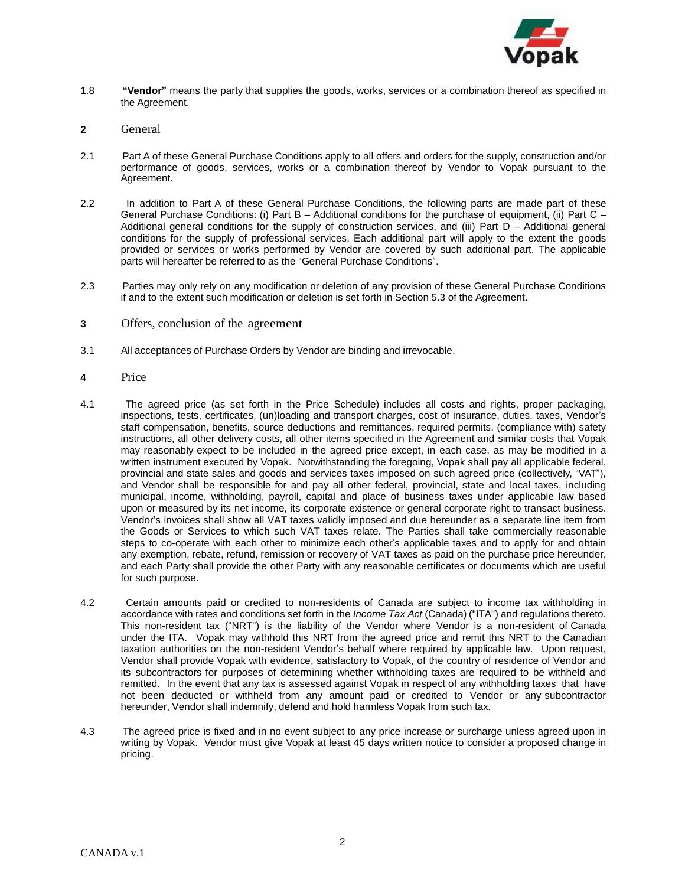

- 1.8 **"Vendor"** means the party that supplies the goods, works, services or a combination thereof as specified in the Agreement.
- **2** General
- 2.1 Part A of these General Purchase Conditions apply to all offers and orders for the supply, construction and/or performance of goods, services, works or a combination thereof by Vendor to Vopak pursuant to the Agreement.
- 2.2 In addition to Part A of these General Purchase Conditions, the following parts are made part of these General Purchase Conditions: (i) Part B – Additional conditions for the purchase of equipment, (ii) Part C – Additional general conditions for the supply of construction services, and (iii) Part D – Additional general conditions for the supply of professional services. Each additional part will apply to the extent the goods provided or services or works performed by Vendor are covered by such additional part. The applicable parts will hereafter be referred to as the "General Purchase Conditions".
- 2.3 Parties may only rely on any modification or deletion of any provision of these General Purchase Conditions if and to the extent such modification or deletion is set forth in Section 5.3 of the Agreement.
- **3** Offers, conclusion of the agreement
- 3.1 All acceptances of Purchase Orders by Vendor are binding and irrevocable.
- **4** Price
- 4.1 The agreed price (as set forth in the Price Schedule) includes all costs and rights, proper packaging, inspections, tests, certificates, (un)loading and transport charges, cost of insurance, duties, taxes, Vendor's staff compensation, benefits, source deductions and remittances, required permits, (compliance with) safety instructions, all other delivery costs, all other items specified in the Agreement and similar costs that Vopak may reasonably expect to be included in the agreed price except, in each case, as may be modified in a written instrument executed by Vopak. Notwithstanding the foregoing, Vopak shall pay all applicable federal, provincial and state sales and goods and services taxes imposed on such agreed price (collectively, "VAT"), and Vendor shall be responsible for and pay all other federal, provincial, state and local taxes, including municipal, income, withholding, payroll, capital and place of business taxes under applicable law based upon or measured by its net income, its corporate existence or general corporate right to transact business. Vendor's invoices shall show all VAT taxes validly imposed and due hereunder as a separate line item from the Goods or Services to which such VAT taxes relate. The Parties shall take commercially reasonable steps to co-operate with each other to minimize each other's applicable taxes and to apply for and obtain any exemption, rebate, refund, remission or recovery of VAT taxes as paid on the purchase price hereunder, and each Party shall provide the other Party with any reasonable certificates or documents which are useful for such purpose.
- 4.2 Certain amounts paid or credited to non-residents of Canada are subject to income tax withholding in accordance with rates and conditions set forth in the *Income Tax Act* (Canada) ("ITA") and regulations thereto. This non-resident tax ("NRT") is the liability of the Vendor where Vendor is a non-resident of Canada under the ITA. Vopak may withhold this NRT from the agreed price and remit this NRT to the Canadian taxation authorities on the non-resident Vendor's behalf where required by applicable law. Upon request, Vendor shall provide Vopak with evidence, satisfactory to Vopak, of the country of residence of Vendor and its subcontractors for purposes of determining whether withholding taxes are required to be withheld and remitted. In the event that any tax is assessed against Vopak in respect of any withholding taxes that have not been deducted or withheld from any amount paid or credited to Vendor or any subcontractor hereunder, Vendor shall indemnify, defend and hold harmless Vopak from such tax.
- 4.3 The agreed price is fixed and in no event subject to any price increase or surcharge unless agreed upon in writing by Vopak. Vendor must give Vopak at least 45 days written notice to consider a proposed change in pricing.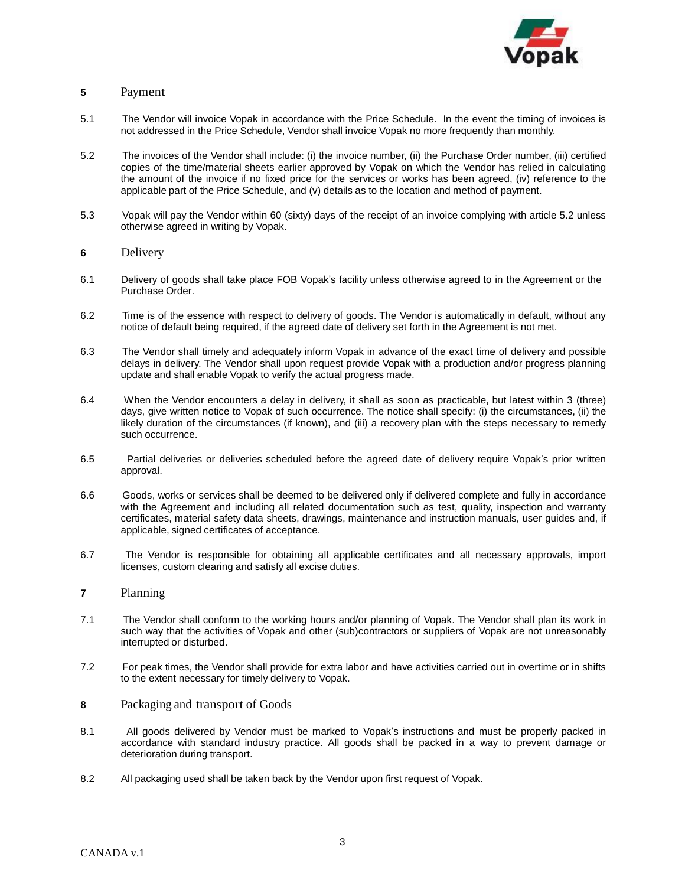

# **5** Payment

- 5.1 The Vendor will invoice Vopak in accordance with the Price Schedule. In the event the timing of invoices is not addressed in the Price Schedule, Vendor shall invoice Vopak no more frequently than monthly.
- 5.2 The invoices of the Vendor shall include: (i) the invoice number, (ii) the Purchase Order number, (iii) certified copies of the time/material sheets earlier approved by Vopak on which the Vendor has relied in calculating the amount of the invoice if no fixed price for the services or works has been agreed, (iv) reference to the applicable part of the Price Schedule, and (v) details as to the location and method of payment.
- 5.3 Vopak will pay the Vendor within 60 (sixty) days of the receipt of an invoice complying with article 5.2 unless otherwise agreed in writing by Vopak.
- **6** Delivery
- 6.1 Delivery of goods shall take place FOB Vopak's facility unless otherwise agreed to in the Agreement or the Purchase Order.
- 6.2 Time is of the essence with respect to delivery of goods. The Vendor is automatically in default, without any notice of default being required, if the agreed date of delivery set forth in the Agreement is not met.
- 6.3 The Vendor shall timely and adequately inform Vopak in advance of the exact time of delivery and possible delays in delivery. The Vendor shall upon request provide Vopak with a production and/or progress planning update and shall enable Vopak to verify the actual progress made.
- 6.4 When the Vendor encounters a delay in delivery, it shall as soon as practicable, but latest within 3 (three) days, give written notice to Vopak of such occurrence. The notice shall specify: (i) the circumstances, (ii) the likely duration of the circumstances (if known), and (iii) a recovery plan with the steps necessary to remedy such occurrence.
- 6.5 Partial deliveries or deliveries scheduled before the agreed date of delivery require Vopak's prior written approval.
- 6.6 Goods, works or services shall be deemed to be delivered only if delivered complete and fully in accordance with the Agreement and including all related documentation such as test, quality, inspection and warranty certificates, material safety data sheets, drawings, maintenance and instruction manuals, user guides and, if applicable, signed certificates of acceptance.
- 6.7 The Vendor is responsible for obtaining all applicable certificates and all necessary approvals, import licenses, custom clearing and satisfy all excise duties.
- **7** Planning
- 7.1 The Vendor shall conform to the working hours and/or planning of Vopak. The Vendor shall plan its work in such way that the activities of Vopak and other (sub)contractors or suppliers of Vopak are not unreasonably interrupted or disturbed.
- 7.2 For peak times, the Vendor shall provide for extra labor and have activities carried out in overtime or in shifts to the extent necessary for timely delivery to Vopak.
- **8** Packaging and transport of Goods
- 8.1 All goods delivered by Vendor must be marked to Vopak's instructions and must be properly packed in accordance with standard industry practice. All goods shall be packed in a way to prevent damage or deterioration during transport.
- 8.2 All packaging used shall be taken back by the Vendor upon first request of Vopak.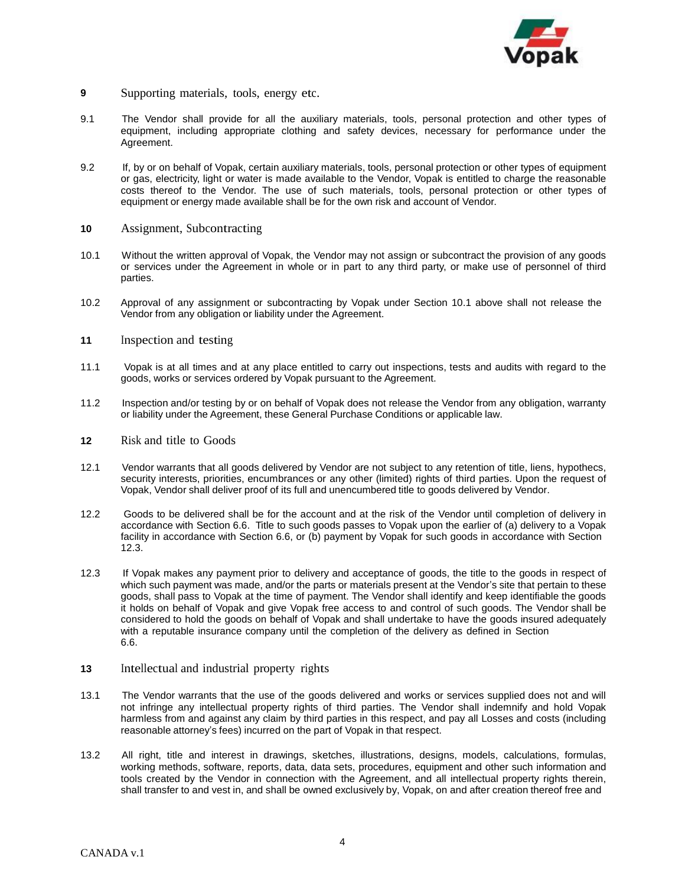

- **<sup>9</sup>** Supporting materials, tools, energy etc.
- 9.1 The Vendor shall provide for all the auxiliary materials, tools, personal protection and other types of equipment, including appropriate clothing and safety devices, necessary for performance under the Agreement.
- 9.2 If, by or on behalf of Vopak, certain auxiliary materials, tools, personal protection or other types of equipment or gas, electricity, light or water is made available to the Vendor, Vopak is entitled to charge the reasonable costs thereof to the Vendor. The use of such materials, tools, personal protection or other types of equipment or energy made available shall be for the own risk and account of Vendor.
- **<sup>10</sup>**Assignment, Subcontracting
- 10.1 Without the written approval of Vopak, the Vendor may not assign or subcontract the provision of any goods or services under the Agreement in whole or in part to any third party, or make use of personnel of third parties.
- 10.2 Approval of any assignment or subcontracting by Vopak under Section 10.1 above shall not release the Vendor from any obligation or liability under the Agreement.
- **11** Inspection and testing
- 11.1 Vopak is at all times and at any place entitled to carry out inspections, tests and audits with regard to the goods, works or services ordered by Vopak pursuant to the Agreement.
- 11.2 Inspection and/or testing by or on behalf of Vopak does not release the Vendor from any obligation, warranty or liability under the Agreement, these General Purchase Conditions or applicable law.
- **12** Risk and title to Goods
- 12.1 Vendor warrants that all goods delivered by Vendor are not subject to any retention of title, liens, hypothecs, security interests, priorities, encumbrances or any other (limited) rights of third parties. Upon the request of Vopak, Vendor shall deliver proof of its full and unencumbered title to goods delivered by Vendor.
- 12.2 Goods to be delivered shall be for the account and at the risk of the Vendor until completion of delivery in accordance with Section 6.6. Title to such goods passes to Vopak upon the earlier of (a) delivery to a Vopak facility in accordance with Section 6.6, or (b) payment by Vopak for such goods in accordance with Section 12.3.
- 12.3 If Vopak makes any payment prior to delivery and acceptance of goods, the title to the goods in respect of which such payment was made, and/or the parts or materials present at the Vendor's site that pertain to these goods, shall pass to Vopak at the time of payment. The Vendor shall identify and keep identifiable the goods it holds on behalf of Vopak and give Vopak free access to and control of such goods. The Vendor shall be considered to hold the goods on behalf of Vopak and shall undertake to have the goods insured adequately with a reputable insurance company until the completion of the delivery as defined in Section 6.6.
- **13** Intellectual and industrial property rights
- 13.1 The Vendor warrants that the use of the goods delivered and works or services supplied does not and will not infringe any intellectual property rights of third parties. The Vendor shall indemnify and hold Vopak harmless from and against any claim by third parties in this respect, and pay all Losses and costs (including reasonable attorney's fees) incurred on the part of Vopak in that respect.
- 13.2 All right, title and interest in drawings, sketches, illustrations, designs, models, calculations, formulas, working methods, software, reports, data, data sets, procedures, equipment and other such information and tools created by the Vendor in connection with the Agreement, and all intellectual property rights therein, shall transfer to and vest in, and shall be owned exclusively by, Vopak, on and after creation thereof free and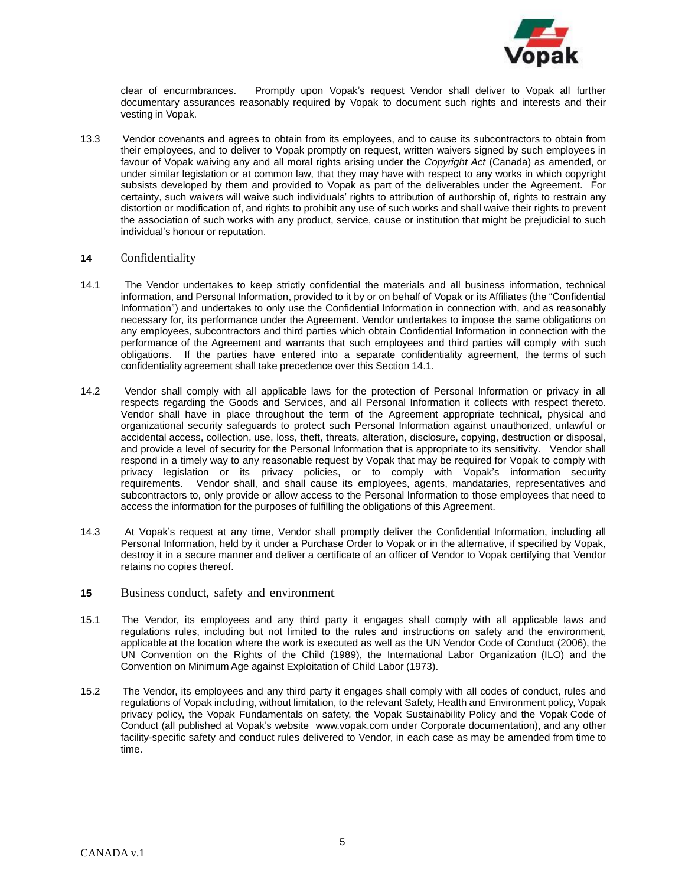

clear of encurmbrances. Promptly upon Vopak's request Vendor shall deliver to Vopak all further documentary assurances reasonably required by Vopak to document such rights and interests and their vesting in Vopak.

13.3 Vendor covenants and agrees to obtain from its employees, and to cause its subcontractors to obtain from their employees, and to deliver to Vopak promptly on request, written waivers signed by such employees in favour of Vopak waiving any and all moral rights arising under the *Copyright Act* (Canada) as amended, or under similar legislation or at common law, that they may have with respect to any works in which copyright subsists developed by them and provided to Vopak as part of the deliverables under the Agreement. For certainty, such waivers will waive such individuals' rights to attribution of authorship of, rights to restrain any distortion or modification of, and rights to prohibit any use of such works and shall waive their rights to prevent the association of such works with any product, service, cause or institution that might be prejudicial to such individual's honour or reputation.

### **<sup>14</sup>**Confidentiality

- 14.1 The Vendor undertakes to keep strictly confidential the materials and all business information, technical information, and Personal Information, provided to it by or on behalf of Vopak or its Affiliates (the "Confidential Information") and undertakes to only use the Confidential Information in connection with, and as reasonably necessary for, its performance under the Agreement. Vendor undertakes to impose the same obligations on any employees, subcontractors and third parties which obtain Confidential Information in connection with the performance of the Agreement and warrants that such employees and third parties will comply with such obligations. If the parties have entered into a separate confidentiality agreement, the terms of such confidentiality agreement shall take precedence over this Section 14.1.
- 14.2 Vendor shall comply with all applicable laws for the protection of Personal Information or privacy in all respects regarding the Goods and Services, and all Personal Information it collects with respect thereto. Vendor shall have in place throughout the term of the Agreement appropriate technical, physical and organizational security safeguards to protect such Personal Information against unauthorized, unlawful or accidental access, collection, use, loss, theft, threats, alteration, disclosure, copying, destruction or disposal, and provide a level of security for the Personal Information that is appropriate to its sensitivity. Vendor shall respond in a timely way to any reasonable request by Vopak that may be required for Vopak to comply with privacy legislation or its privacy policies, or to comply with Vopak's information security requirements. Vendor shall, and shall cause its employees, agents, mandataries, representatives and subcontractors to, only provide or allow access to the Personal Information to those employees that need to access the information for the purposes of fulfilling the obligations of this Agreement.
- 14.3 At Vopak's request at any time, Vendor shall promptly deliver the Confidential Information, including all Personal Information, held by it under a Purchase Order to Vopak or in the alternative, if specified by Vopak, destroy it in a secure manner and deliver a certificate of an officer of Vendor to Vopak certifying that Vendor retains no copies thereof.
- **15** Business conduct, safety and environment
- 15.1 The Vendor, its employees and any third party it engages shall comply with all applicable laws and regulations rules, including but not limited to the rules and instructions on safety and the environment, applicable at the location where the work is executed as well as the UN Vendor Code of Conduct (2006), the UN Convention on the Rights of the Child (1989), the International Labor Organization (ILO) and the Convention on Minimum Age against Exploitation of Child Labor (1973).
- 15.2 The Vendor, its employees and any third party it engages shall comply with all codes of conduct, rules and regulations of Vopak including, without limitation, to the relevant Safety, Health and Environment policy, Vopak privacy policy, the Vopak Fundamentals on safety, the Vopak Sustainability Policy and the Vopak Code of Conduct (all published at Vopak's website [www.vopak.com](http://www.vopak.com/) under Corporate documentation), and any other facility-specific safety and conduct rules delivered to Vendor, in each case as may be amended from time to time.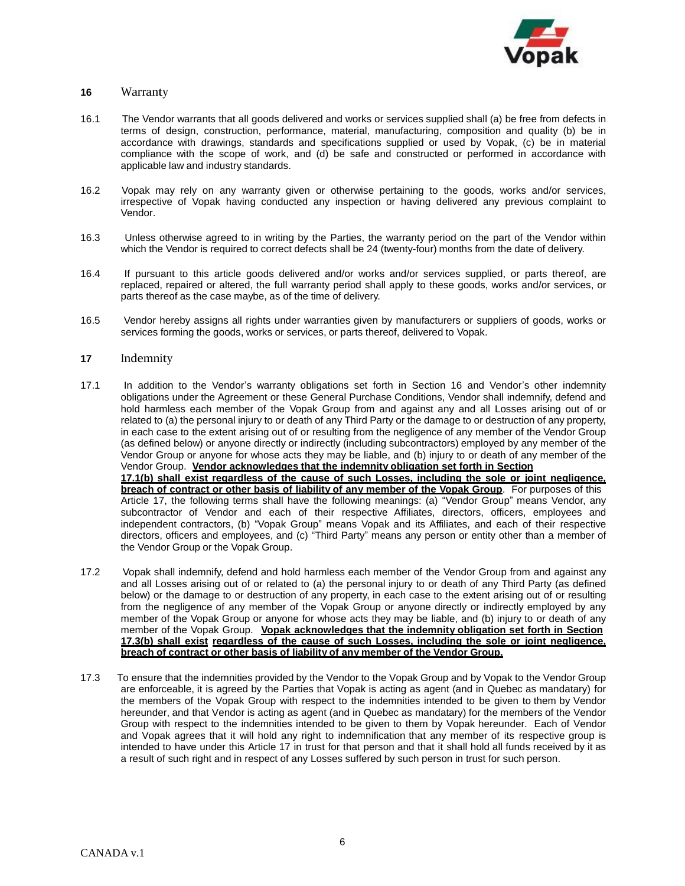

# **<sup>16</sup>**Warranty

- 16.1 The Vendor warrants that all goods delivered and works or services supplied shall (a) be free from defects in terms of design, construction, performance, material, manufacturing, composition and quality (b) be in accordance with drawings, standards and specifications supplied or used by Vopak, (c) be in material compliance with the scope of work, and (d) be safe and constructed or performed in accordance with applicable law and industry standards.
- 16.2 Vopak may rely on any warranty given or otherwise pertaining to the goods, works and/or services, irrespective of Vopak having conducted any inspection or having delivered any previous complaint to Vendor.
- 16.3 Unless otherwise agreed to in writing by the Parties, the warranty period on the part of the Vendor within which the Vendor is required to correct defects shall be 24 (twenty-four) months from the date of delivery.
- 16.4 If pursuant to this article goods delivered and/or works and/or services supplied, or parts thereof, are replaced, repaired or altered, the full warranty period shall apply to these goods, works and/or services, or parts thereof as the case maybe, as of the time of delivery.
- 16.5 Vendor hereby assigns all rights under warranties given by manufacturers or suppliers of goods, works or services forming the goods, works or services, or parts thereof, delivered to Vopak.

#### 17 Indemnity

- 17.1 In addition to the Vendor's warranty obligations set forth in Section 16 and Vendor's other indemnity obligations under the Agreement or these General Purchase Conditions, Vendor shall indemnify, defend and hold harmless each member of the Vopak Group from and against any and all Losses arising out of or related to (a) the personal injury to or death of any Third Party or the damage to or destruction of any property, in each case to the extent arising out of or resulting from the negligence of any member of the Vendor Group (as defined below) or anyone directly or indirectly (including subcontractors) employed by any member of the Vendor Group or anyone for whose acts they may be liable, and (b) injury to or death of any member of the Vendor Group. **Vendor acknowledges that the indemnity obligation set forth in Section 17.1(b) shall exist regardless of the cause of such Losses, including the sole or joint negligence, breach of contract or other basis of liability of any member of the Vopak Group**. For purposes of this Article 17, the following terms shall have the following meanings: (a) "Vendor Group" means Vendor, any subcontractor of Vendor and each of their respective Affiliates, directors, officers, employees and independent contractors, (b) "Vopak Group" means Vopak and its Affiliates, and each of their respective directors, officers and employees, and (c) "Third Party" means any person or entity other than a member of the Vendor Group or the Vopak Group.
- 17.2 Vopak shall indemnify, defend and hold harmless each member of the Vendor Group from and against any and all Losses arising out of or related to (a) the personal injury to or death of any Third Party (as defined below) or the damage to or destruction of any property, in each case to the extent arising out of or resulting from the negligence of any member of the Vopak Group or anyone directly or indirectly employed by any member of the Vopak Group or anyone for whose acts they may be liable, and (b) injury to or death of any member of the Vopak Group. **Vopak acknowledges that the indemnity obligation set forth in Section 17.3(b) shall exist regardless of the cause of such Losses, including the sole or joint negligence, breach of contract or other basis of liability of any member of the Vendor Group.**
- 17.3 To ensure that the indemnities provided by the Vendor to the Vopak Group and by Vopak to the Vendor Group are enforceable, it is agreed by the Parties that Vopak is acting as agent (and in Quebec as mandatary) for the members of the Vopak Group with respect to the indemnities intended to be given to them by Vendor hereunder, and that Vendor is acting as agent (and in Quebec as mandatary) for the members of the Vendor Group with respect to the indemnities intended to be given to them by Vopak hereunder. Each of Vendor and Vopak agrees that it will hold any right to indemnification that any member of its respective group is intended to have under this Article 17 in trust for that person and that it shall hold all funds received by it as a result of such right and in respect of any Losses suffered by such person in trust for such person.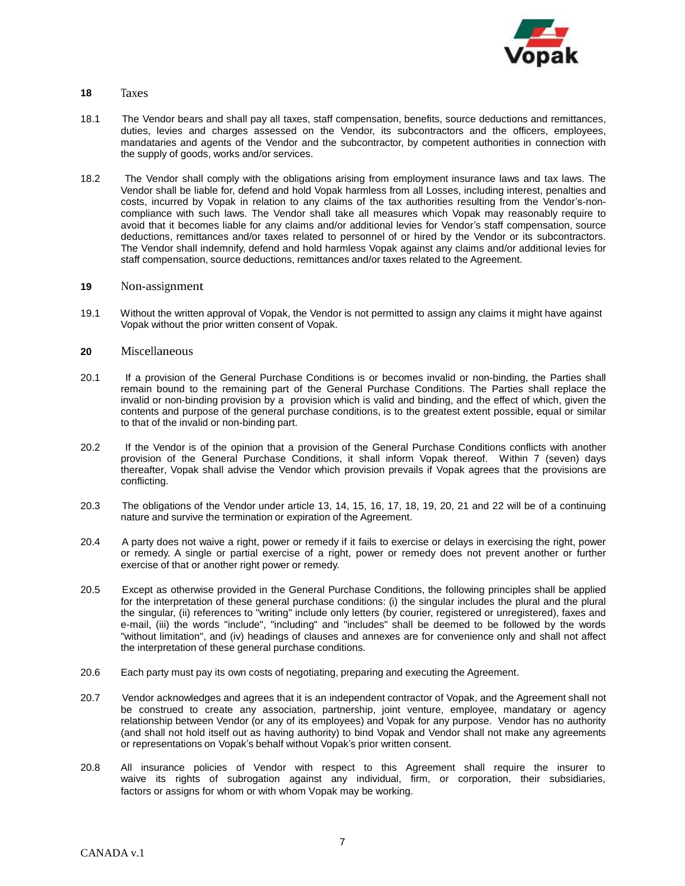

## **18** Taxes

- 18.1 The Vendor bears and shall pay all taxes, staff compensation, benefits, source deductions and remittances, duties, levies and charges assessed on the Vendor, its subcontractors and the officers, employees, mandataries and agents of the Vendor and the subcontractor, by competent authorities in connection with the supply of goods, works and/or services.
- 18.2 The Vendor shall comply with the obligations arising from employment insurance laws and tax laws. The Vendor shall be liable for, defend and hold Vopak harmless from all Losses, including interest, penalties and costs, incurred by Vopak in relation to any claims of the tax authorities resulting from the Vendor's-noncompliance with such laws. The Vendor shall take all measures which Vopak may reasonably require to avoid that it becomes liable for any claims and/or additional levies for Vendor's staff compensation, source deductions, remittances and/or taxes related to personnel of or hired by the Vendor or its subcontractors. The Vendor shall indemnify, defend and hold harmless Vopak against any claims and/or additional levies for staff compensation, source deductions, remittances and/or taxes related to the Agreement.

#### 19 Non-assignment

19.1 Without the written approval of Vopak, the Vendor is not permitted to assign any claims it might have against Vopak without the prior written consent of Vopak.

#### **20** Miscellaneous

- 20.1 If a provision of the General Purchase Conditions is or becomes invalid or non-binding, the Parties shall remain bound to the remaining part of the General Purchase Conditions. The Parties shall replace the invalid or non-binding provision by a provision which is valid and binding, and the effect of which, given the contents and purpose of the general purchase conditions, is to the greatest extent possible, equal or similar to that of the invalid or non-binding part.
- 20.2 If the Vendor is of the opinion that a provision of the General Purchase Conditions conflicts with another provision of the General Purchase Conditions, it shall inform Vopak thereof. Within 7 (seven) days thereafter, Vopak shall advise the Vendor which provision prevails if Vopak agrees that the provisions are conflicting.
- 20.3 The obligations of the Vendor under article 13, 14, 15, 16, 17, 18, 19, 20, 21 and 22 will be of a continuing nature and survive the termination or expiration of the Agreement.
- 20.4 A party does not waive a right, power or remedy if it fails to exercise or delays in exercising the right, power or remedy. A single or partial exercise of a right, power or remedy does not prevent another or further exercise of that or another right power or remedy.
- 20.5 Except as otherwise provided in the General Purchase Conditions, the following principles shall be applied for the interpretation of these general purchase conditions: (i) the singular includes the plural and the plural the singular, (ii) references to "writing" include only letters (by courier, registered or unregistered), faxes and e-mail, (iii) the words "include", "including" and "includes" shall be deemed to be followed by the words "without limitation", and (iv) headings of clauses and annexes are for convenience only and shall not affect the interpretation of these general purchase conditions.
- 20.6 Each party must pay its own costs of negotiating, preparing and executing the Agreement.
- 20.7 Vendor acknowledges and agrees that it is an independent contractor of Vopak, and the Agreement shall not be construed to create any association, partnership, joint venture, employee, mandatary or agency relationship between Vendor (or any of its employees) and Vopak for any purpose. Vendor has no authority (and shall not hold itself out as having authority) to bind Vopak and Vendor shall not make any agreements or representations on Vopak's behalf without Vopak's prior written consent.
- 20.8 All insurance policies of Vendor with respect to this Agreement shall require the insurer to waive its rights of subrogation against any individual, firm, or corporation, their subsidiaries, factors or assigns for whom or with whom Vopak may be working.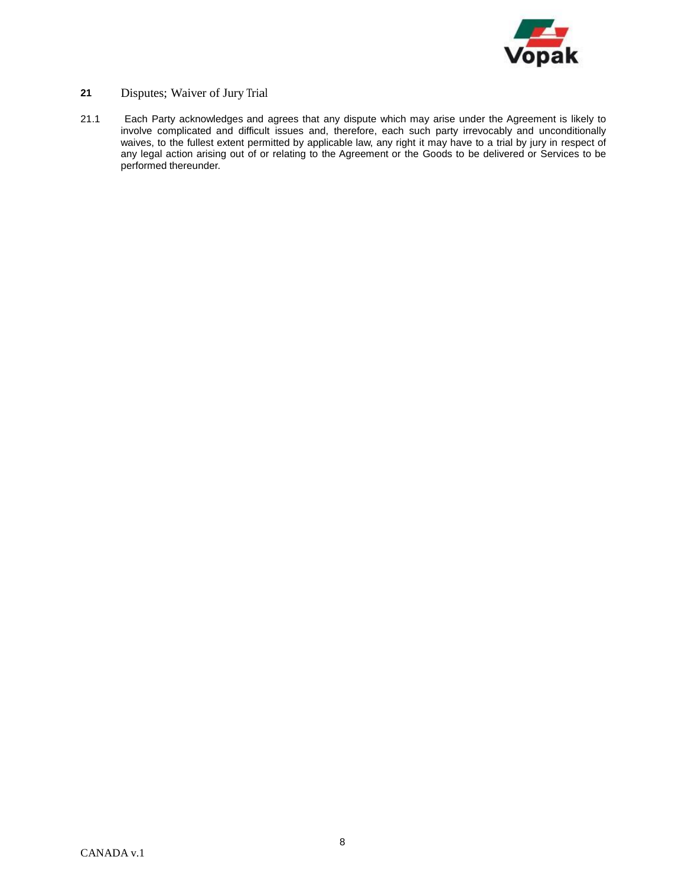

# **21** Disputes; Waiver of Jury Trial

21.1 Each Party acknowledges and agrees that any dispute which may arise under the Agreement is likely to involve complicated and difficult issues and, therefore, each such party irrevocably and unconditionally waives, to the fullest extent permitted by applicable law, any right it may have to a trial by jury in respect of any legal action arising out of or relating to the Agreement or the Goods to be delivered or Services to be performed thereunder.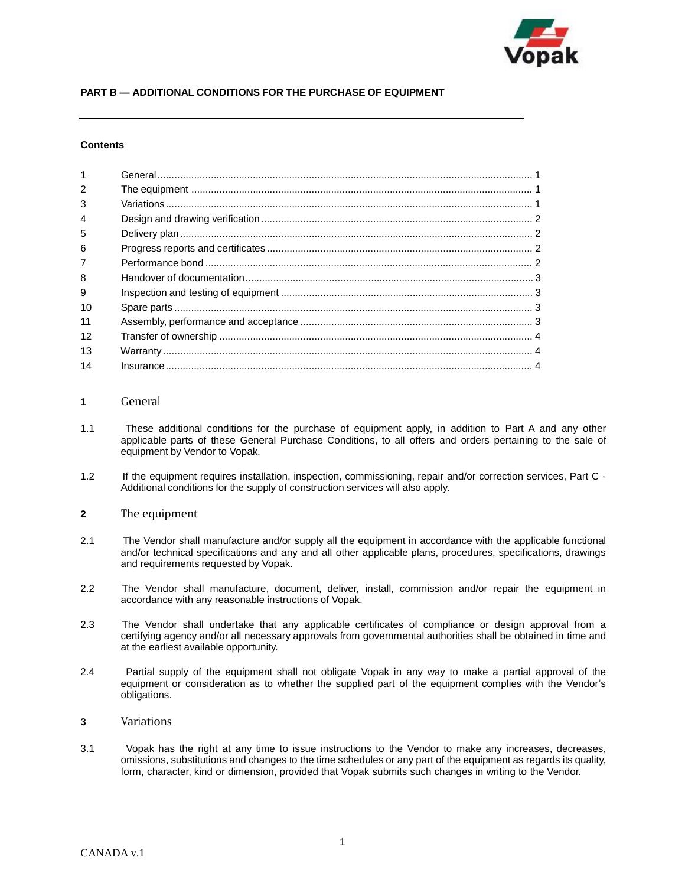

# **PART B — ADDITIONAL CONDITIONS FOR THE PURCHASE OF EQUIPMENT**

#### **Contents**

| $\overline{1}$ |  |
|----------------|--|
| $\mathcal{P}$  |  |
| 3              |  |
| $\overline{4}$ |  |
| 5              |  |
| 6              |  |
| $\overline{7}$ |  |
| 8              |  |
| 9              |  |
| 10             |  |
| 11             |  |
| 12             |  |
| 13             |  |
| 14             |  |

#### **1** General

- 1.1 These additional conditions for the purchase of equipment apply, in addition to Part A and any other applicable parts of these General Purchase Conditions, to all offers and orders pertaining to the sale of equipment by Vendor to Vopak.
- 1.2 If the equipment requires installation, inspection, commissioning, repair and/or correction services, Part C Additional conditions for the supply of construction services will also apply.

# **2** The equipment

- 2.1 The Vendor shall manufacture and/or supply all the equipment in accordance with the applicable functional and/or technical specifications and any and all other applicable plans, procedures, specifications, drawings and requirements requested by Vopak.
- 2.2 The Vendor shall manufacture, document, deliver, install, commission and/or repair the equipment in accordance with any reasonable instructions of Vopak.
- 2.3 The Vendor shall undertake that any applicable certificates of compliance or design approval from a certifying agency and/or all necessary approvals from governmental authorities shall be obtained in time and at the earliest available opportunity.
- 2.4 Partial supply of the equipment shall not obligate Vopak in any way to make a partial approval of the equipment or consideration as to whether the supplied part of the equipment complies with the Vendor's obligations.
- **<sup>3</sup>**Variations
- 3.1 Vopak has the right at any time to issue instructions to the Vendor to make any increases, decreases, omissions, substitutions and changes to the time schedules or any part of the equipment as regards its quality, form, character, kind or dimension, provided that Vopak submits such changes in writing to the Vendor.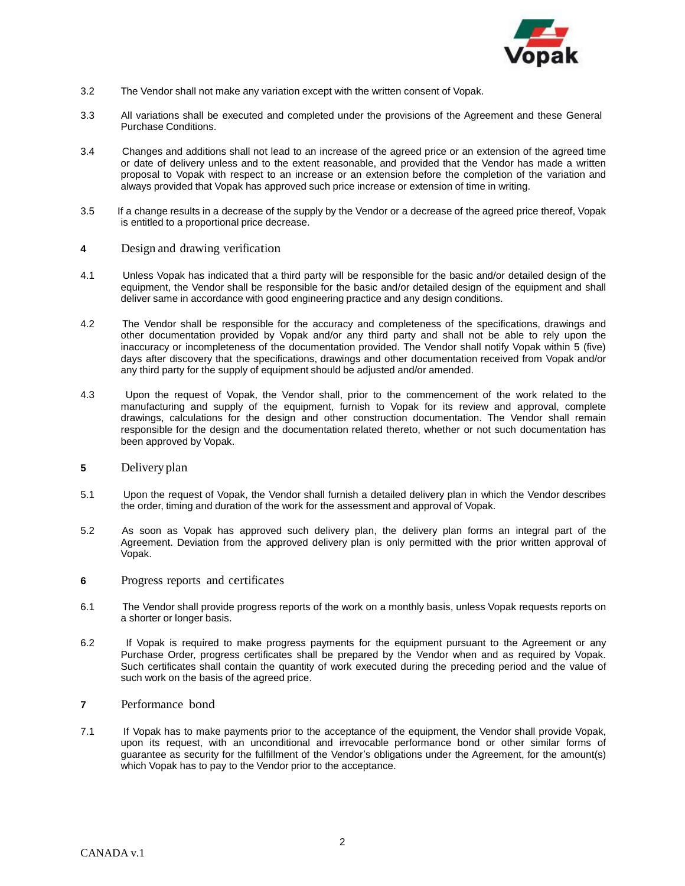

- 3.2 The Vendor shall not make any variation except with the written consent of Vopak.
- 3.3 All variations shall be executed and completed under the provisions of the Agreement and these General Purchase Conditions.
- 3.4 Changes and additions shall not lead to an increase of the agreed price or an extension of the agreed time or date of delivery unless and to the extent reasonable, and provided that the Vendor has made a written proposal to Vopak with respect to an increase or an extension before the completion of the variation and always provided that Vopak has approved such price increase or extension of time in writing.
- 3.5 If a change results in a decrease of the supply by the Vendor or a decrease of the agreed price thereof, Vopak is entitled to a proportional price decrease.
- **<sup>4</sup>**Design and drawing verification
- 4.1 Unless Vopak has indicated that a third party will be responsible for the basic and/or detailed design of the equipment, the Vendor shall be responsible for the basic and/or detailed design of the equipment and shall deliver same in accordance with good engineering practice and any design conditions.
- 4.2 The Vendor shall be responsible for the accuracy and completeness of the specifications, drawings and other documentation provided by Vopak and/or any third party and shall not be able to rely upon the inaccuracy or incompleteness of the documentation provided. The Vendor shall notify Vopak within 5 (five) days after discovery that the specifications, drawings and other documentation received from Vopak and/or any third party for the supply of equipment should be adjusted and/or amended.
- 4.3 Upon the request of Vopak, the Vendor shall, prior to the commencement of the work related to the manufacturing and supply of the equipment, furnish to Vopak for its review and approval, complete drawings, calculations for the design and other construction documentation. The Vendor shall remain responsible for the design and the documentation related thereto, whether or not such documentation has been approved by Vopak.
- **5** Delivery plan
- 5.1 Upon the request of Vopak, the Vendor shall furnish a detailed delivery plan in which the Vendor describes the order, timing and duration of the work for the assessment and approval of Vopak.
- 5.2 As soon as Vopak has approved such delivery plan, the delivery plan forms an integral part of the Agreement. Deviation from the approved delivery plan is only permitted with the prior written approval of Vopak.
- **6** Progress reports and certificates
- 6.1 The Vendor shall provide progress reports of the work on a monthly basis, unless Vopak requests reports on a shorter or longer basis.
- 6.2 If Vopak is required to make progress payments for the equipment pursuant to the Agreement or any Purchase Order, progress certificates shall be prepared by the Vendor when and as required by Vopak. Such certificates shall contain the quantity of work executed during the preceding period and the value of such work on the basis of the agreed price.
- **7** Performance bond
- 7.1 If Vopak has to make payments prior to the acceptance of the equipment, the Vendor shall provide Vopak, upon its request, with an unconditional and irrevocable performance bond or other similar forms of guarantee as security for the fulfillment of the Vendor's obligations under the Agreement, for the amount(s) which Vopak has to pay to the Vendor prior to the acceptance.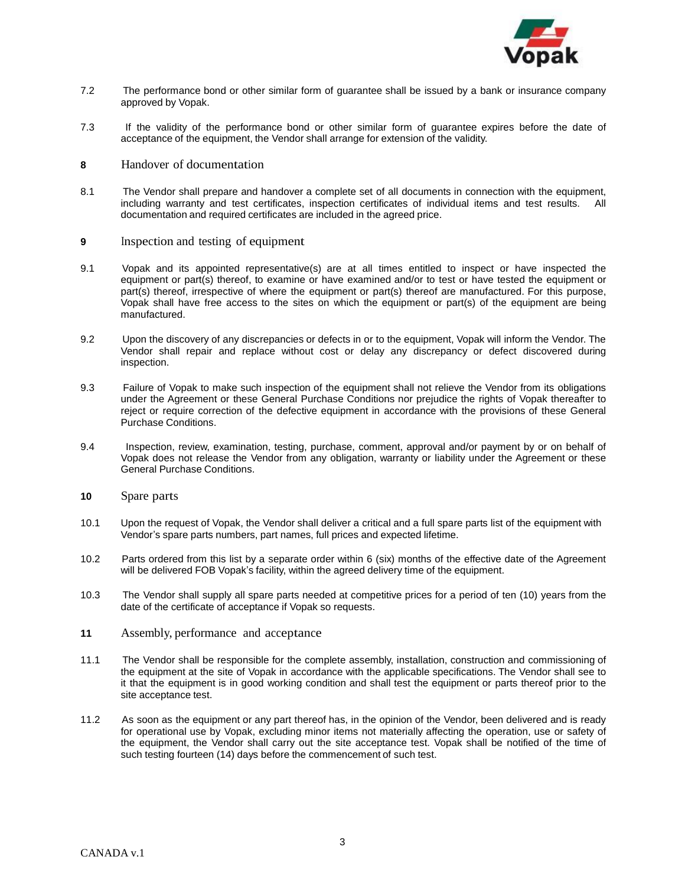

- 7.2 The performance bond or other similar form of guarantee shall be issued by a bank or insurance company approved by Vopak.
- 7.3 If the validity of the performance bond or other similar form of guarantee expires before the date of acceptance of the equipment, the Vendor shall arrange for extension of the validity.
- **8** Handover of documentation
- 8.1 The Vendor shall prepare and handover a complete set of all documents in connection with the equipment, including warranty and test certificates, inspection certificates of individual items and test results. All documentation and required certificates are included in the agreed price.
- **9** Inspection and testing of equipment
- 9.1 Vopak and its appointed representative(s) are at all times entitled to inspect or have inspected the equipment or part(s) thereof, to examine or have examined and/or to test or have tested the equipment or part(s) thereof, irrespective of where the equipment or part(s) thereof are manufactured. For this purpose, Vopak shall have free access to the sites on which the equipment or part(s) of the equipment are being manufactured.
- 9.2 Upon the discovery of any discrepancies or defects in or to the equipment, Vopak will inform the Vendor. The Vendor shall repair and replace without cost or delay any discrepancy or defect discovered during inspection.
- 9.3 Failure of Vopak to make such inspection of the equipment shall not relieve the Vendor from its obligations under the Agreement or these General Purchase Conditions nor prejudice the rights of Vopak thereafter to reject or require correction of the defective equipment in accordance with the provisions of these General Purchase Conditions.
- 9.4 Inspection, review, examination, testing, purchase, comment, approval and/or payment by or on behalf of Vopak does not release the Vendor from any obligation, warranty or liability under the Agreement or these General Purchase Conditions.
- **<sup>10</sup>**Spare parts
- 10.1 Upon the request of Vopak, the Vendor shall deliver a critical and a full spare parts list of the equipment with Vendor's spare parts numbers, part names, full prices and expected lifetime.
- 10.2 Parts ordered from this list by a separate order within 6 (six) months of the effective date of the Agreement will be delivered FOB Vopak's facility, within the agreed delivery time of the equipment.
- 10.3 The Vendor shall supply all spare parts needed at competitive prices for a period of ten (10) years from the date of the certificate of acceptance if Vopak so requests.
- **<sup>11</sup>**Assembly, performance and acceptance
- 11.1 The Vendor shall be responsible for the complete assembly, installation, construction and commissioning of the equipment at the site of Vopak in accordance with the applicable specifications. The Vendor shall see to it that the equipment is in good working condition and shall test the equipment or parts thereof prior to the site acceptance test.
- 11.2 As soon as the equipment or any part thereof has, in the opinion of the Vendor, been delivered and is ready for operational use by Vopak, excluding minor items not materially affecting the operation, use or safety of the equipment, the Vendor shall carry out the site acceptance test. Vopak shall be notified of the time of such testing fourteen (14) days before the commencement of such test.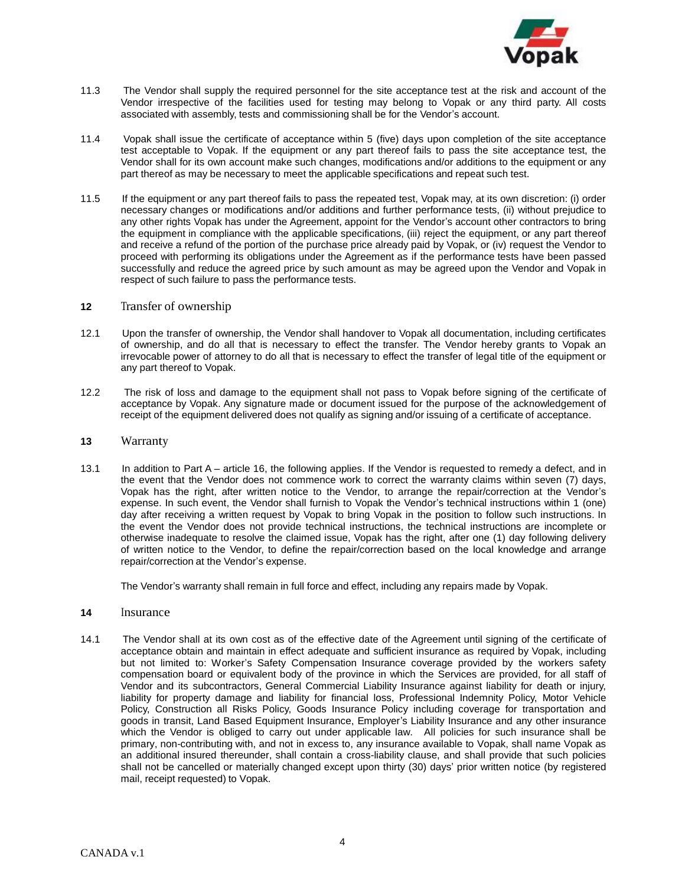

- 11.3 The Vendor shall supply the required personnel for the site acceptance test at the risk and account of the Vendor irrespective of the facilities used for testing may belong to Vopak or any third party. All costs associated with assembly, tests and commissioning shall be for the Vendor's account.
- 11.4 Vopak shall issue the certificate of acceptance within 5 (five) days upon completion of the site acceptance test acceptable to Vopak. If the equipment or any part thereof fails to pass the site acceptance test, the Vendor shall for its own account make such changes, modifications and/or additions to the equipment or any part thereof as may be necessary to meet the applicable specifications and repeat such test.
- 11.5 If the equipment or any part thereof fails to pass the repeated test, Vopak may, at its own discretion: (i) order necessary changes or modifications and/or additions and further performance tests, (ii) without prejudice to any other rights Vopak has under the Agreement, appoint for the Vendor's account other contractors to bring the equipment in compliance with the applicable specifications, (iii) reject the equipment, or any part thereof and receive a refund of the portion of the purchase price already paid by Vopak, or (iv) request the Vendor to proceed with performing its obligations under the Agreement as if the performance tests have been passed successfully and reduce the agreed price by such amount as may be agreed upon the Vendor and Vopak in respect of such failure to pass the performance tests.

#### **12** Transfer of ownership

- 12.1 Upon the transfer of ownership, the Vendor shall handover to Vopak all documentation, including certificates of ownership, and do all that is necessary to effect the transfer. The Vendor hereby grants to Vopak an irrevocable power of attorney to do all that is necessary to effect the transfer of legal title of the equipment or any part thereof to Vopak.
- 12.2 The risk of loss and damage to the equipment shall not pass to Vopak before signing of the certificate of acceptance by Vopak. Any signature made or document issued for the purpose of the acknowledgement of receipt of the equipment delivered does not qualify as signing and/or issuing of a certificate of acceptance.

#### **<sup>13</sup>**Warranty

13.1 In addition to Part A – article 16, the following applies. If the Vendor is requested to remedy a defect, and in the event that the Vendor does not commence work to correct the warranty claims within seven (7) days, Vopak has the right, after written notice to the Vendor, to arrange the repair/correction at the Vendor's expense. In such event, the Vendor shall furnish to Vopak the Vendor's technical instructions within 1 (one) day after receiving a written request by Vopak to bring Vopak in the position to follow such instructions. In the event the Vendor does not provide technical instructions, the technical instructions are incomplete or otherwise inadequate to resolve the claimed issue, Vopak has the right, after one (1) day following delivery of written notice to the Vendor, to define the repair/correction based on the local knowledge and arrange repair/correction at the Vendor's expense.

The Vendor's warranty shall remain in full force and effect, including any repairs made by Vopak.

- **14** Insurance
- 14.1 The Vendor shall at its own cost as of the effective date of the Agreement until signing of the certificate of acceptance obtain and maintain in effect adequate and sufficient insurance as required by Vopak, including but not limited to: Worker's Safety Compensation Insurance coverage provided by the workers safety compensation board or equivalent body of the province in which the Services are provided, for all staff of Vendor and its subcontractors, General Commercial Liability Insurance against liability for death or injury, liability for property damage and liability for financial loss, Professional Indemnity Policy, Motor Vehicle Policy, Construction all Risks Policy, Goods Insurance Policy including coverage for transportation and goods in transit, Land Based Equipment Insurance, Employer's Liability Insurance and any other insurance which the Vendor is obliged to carry out under applicable law. All policies for such insurance shall be primary, non-contributing with, and not in excess to, any insurance available to Vopak, shall name Vopak as an additional insured thereunder, shall contain a cross-liability clause, and shall provide that such policies shall not be cancelled or materially changed except upon thirty (30) days' prior written notice (by registered mail, receipt requested) to Vopak.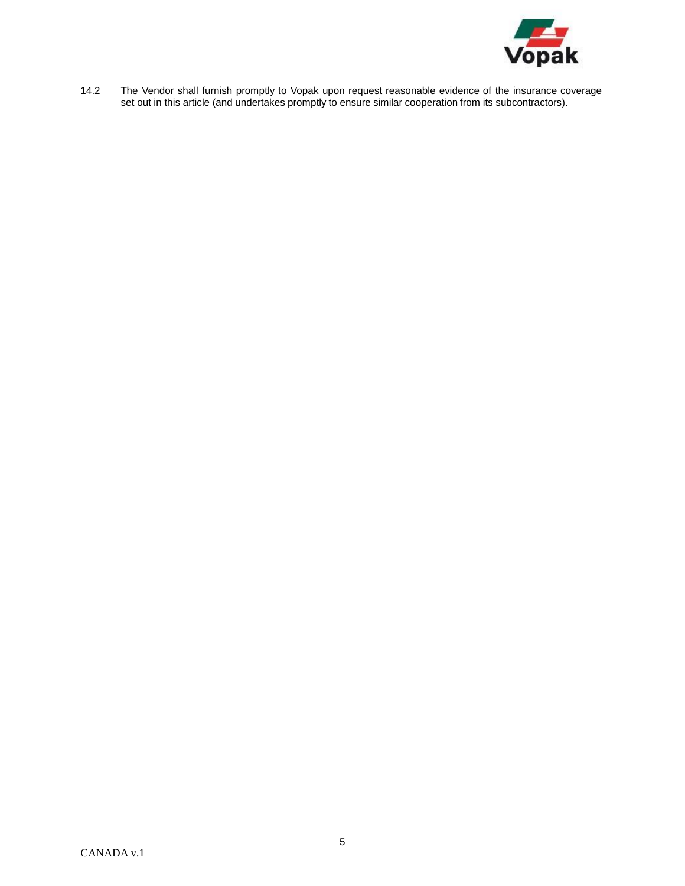

14.2 The Vendor shall furnish promptly to Vopak upon request reasonable evidence of the insurance coverage set out in this article (and undertakes promptly to ensure similar cooperation from its subcontractors).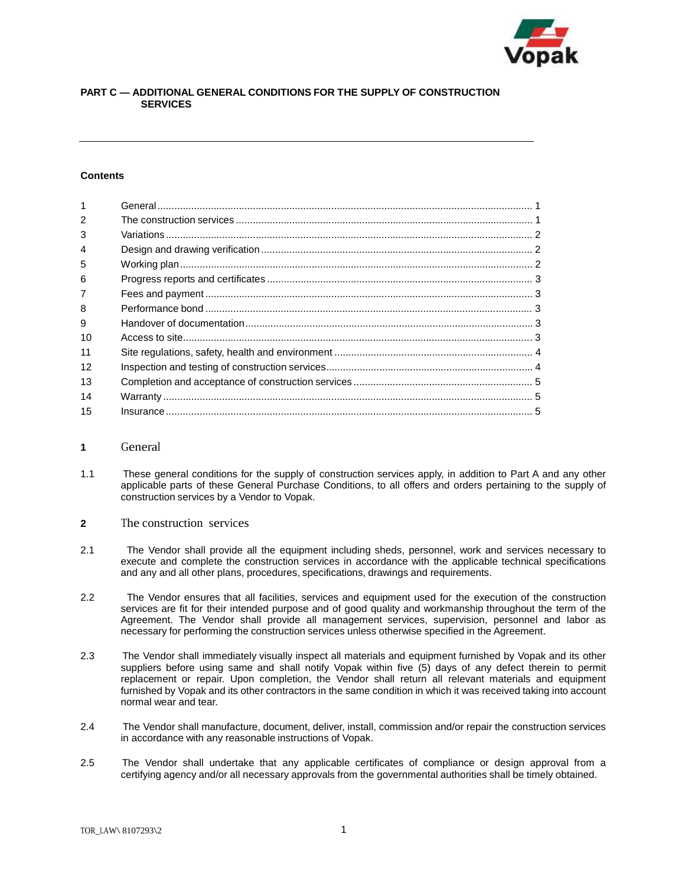

# **PART C — ADDITIONAL GENERAL CONDITIONS FOR THE SUPPLY OF CONSTRUCTION SERVICES**

#### **Contents**

| $\overline{1}$ |  |
|----------------|--|
| $\mathcal{P}$  |  |
| 3              |  |
| $\overline{4}$ |  |
| 5              |  |
| 6              |  |
| $\overline{7}$ |  |
| 8              |  |
| 9              |  |
| 10             |  |
| 11             |  |
| 12             |  |
| 13             |  |
| 14             |  |
| 15             |  |

### **1** General

- 1.1 These general conditions for the supply of construction services apply, in addition to Part A and any other applicable parts of these General Purchase Conditions, to all offers and orders pertaining to the supply of construction services by a Vendor to Vopak.
- **2** The construction services
- 2.1 The Vendor shall provide all the equipment including sheds, personnel, work and services necessary to execute and complete the construction services in accordance with the applicable technical specifications and any and all other plans, procedures, specifications, drawings and requirements.
- 2.2 The Vendor ensures that all facilities, services and equipment used for the execution of the construction services are fit for their intended purpose and of good quality and workmanship throughout the term of the Agreement. The Vendor shall provide all management services, supervision, personnel and labor as necessary for performing the construction services unless otherwise specified in the Agreement.
- 2.3 The Vendor shall immediately visually inspect all materials and equipment furnished by Vopak and its other suppliers before using same and shall notify Vopak within five (5) days of any defect therein to permit replacement or repair. Upon completion, the Vendor shall return all relevant materials and equipment furnished by Vopak and its other contractors in the same condition in which it was received taking into account normal wear and tear.
- 2.4 The Vendor shall manufacture, document, deliver, install, commission and/or repair the construction services in accordance with any reasonable instructions of Vopak.
- 2.5 The Vendor shall undertake that any applicable certificates of compliance or design approval from a certifying agency and/or all necessary approvals from the governmental authorities shall be timely obtained.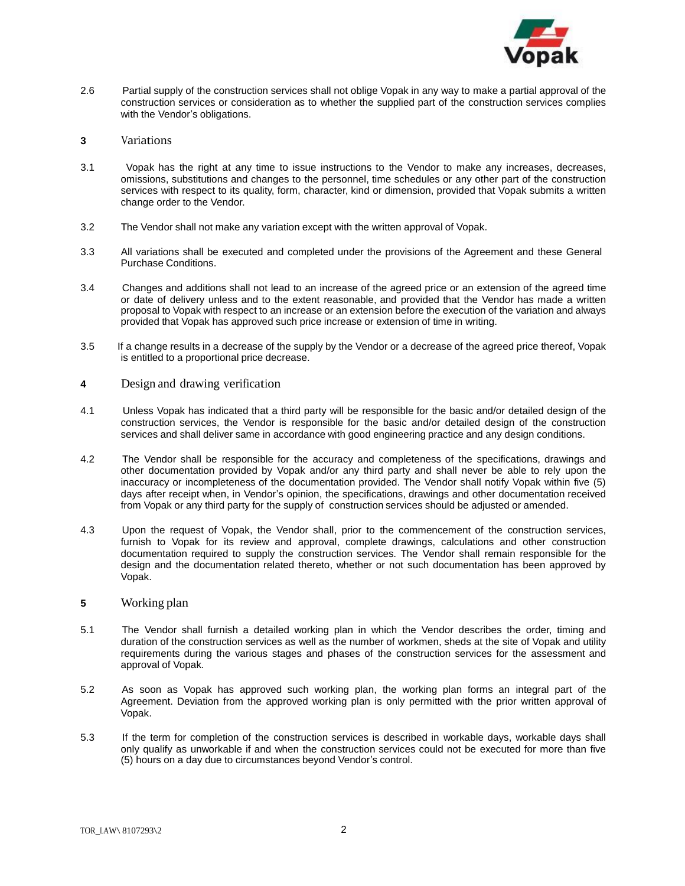

- 2.6 Partial supply of the construction services shall not oblige Vopak in any way to make a partial approval of the construction services or consideration as to whether the supplied part of the construction services complies with the Vendor's obligations.
- **<sup>3</sup>**Variations
- 3.1 Vopak has the right at any time to issue instructions to the Vendor to make any increases, decreases, omissions, substitutions and changes to the personnel, time schedules or any other part of the construction services with respect to its quality, form, character, kind or dimension, provided that Vopak submits a written change order to the Vendor.
- 3.2 The Vendor shall not make any variation except with the written approval of Vopak.
- 3.3 All variations shall be executed and completed under the provisions of the Agreement and these General Purchase Conditions.
- 3.4 Changes and additions shall not lead to an increase of the agreed price or an extension of the agreed time or date of delivery unless and to the extent reasonable, and provided that the Vendor has made a written proposal to Vopak with respect to an increase or an extension before the execution of the variation and always provided that Vopak has approved such price increase or extension of time in writing.
- 3.5 If a change results in a decrease of the supply by the Vendor or a decrease of the agreed price thereof, Vopak is entitled to a proportional price decrease.
- **<sup>4</sup>**Design and drawing verification
- 4.1 Unless Vopak has indicated that a third party will be responsible for the basic and/or detailed design of the construction services, the Vendor is responsible for the basic and/or detailed design of the construction services and shall deliver same in accordance with good engineering practice and any design conditions.
- 4.2 The Vendor shall be responsible for the accuracy and completeness of the specifications, drawings and other documentation provided by Vopak and/or any third party and shall never be able to rely upon the inaccuracy or incompleteness of the documentation provided. The Vendor shall notify Vopak within five (5) days after receipt when, in Vendor's opinion, the specifications, drawings and other documentation received from Vopak or any third party for the supply of construction services should be adjusted or amended.
- 4.3 Upon the request of Vopak, the Vendor shall, prior to the commencement of the construction services, furnish to Vopak for its review and approval, complete drawings, calculations and other construction documentation required to supply the construction services. The Vendor shall remain responsible for the design and the documentation related thereto, whether or not such documentation has been approved by Vopak.

#### **5** Working plan

- 5.1 The Vendor shall furnish a detailed working plan in which the Vendor describes the order, timing and duration of the construction services as well as the number of workmen, sheds at the site of Vopak and utility requirements during the various stages and phases of the construction services for the assessment and approval of Vopak.
- 5.2 As soon as Vopak has approved such working plan, the working plan forms an integral part of the Agreement. Deviation from the approved working plan is only permitted with the prior written approval of Vopak.
- 5.3 If the term for completion of the construction services is described in workable days, workable days shall only qualify as unworkable if and when the construction services could not be executed for more than five (5) hours on a day due to circumstances beyond Vendor's control.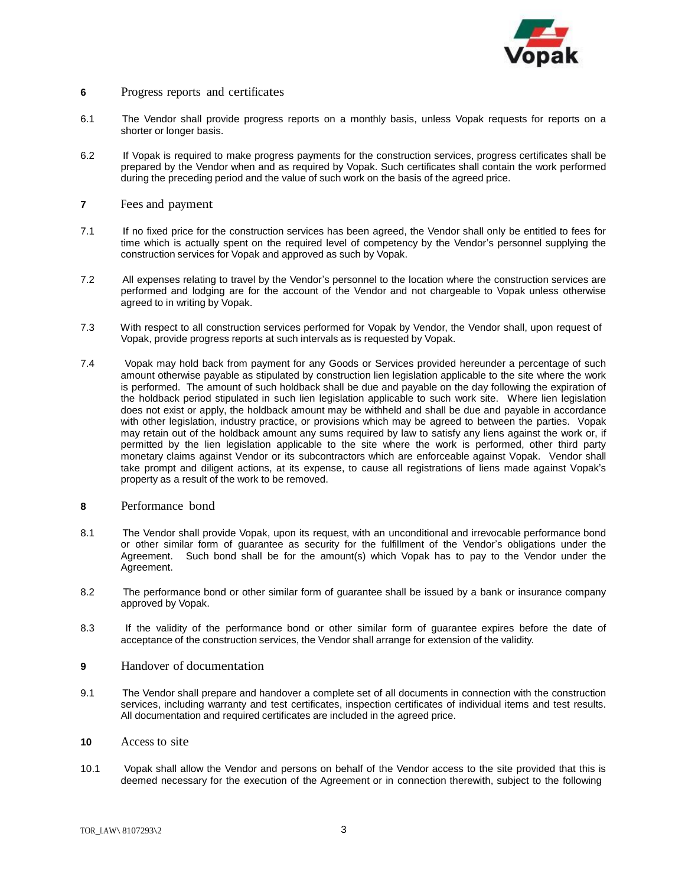

# **6** Progress reports and certificates

- 6.1 The Vendor shall provide progress reports on a monthly basis, unless Vopak requests for reports on a shorter or longer basis.
- 6.2 If Vopak is required to make progress payments for the construction services, progress certificates shall be prepared by the Vendor when and as required by Vopak. Such certificates shall contain the work performed during the preceding period and the value of such work on the basis of the agreed price.
- **7** Fees and payment
- 7.1 If no fixed price for the construction services has been agreed, the Vendor shall only be entitled to fees for time which is actually spent on the required level of competency by the Vendor's personnel supplying the construction services for Vopak and approved as such by Vopak.
- 7.2 All expenses relating to travel by the Vendor's personnel to the location where the construction services are performed and lodging are for the account of the Vendor and not chargeable to Vopak unless otherwise agreed to in writing by Vopak.
- 7.3 With respect to all construction services performed for Vopak by Vendor, the Vendor shall, upon request of Vopak, provide progress reports at such intervals as is requested by Vopak.
- 7.4 Vopak may hold back from payment for any Goods or Services provided hereunder a percentage of such amount otherwise payable as stipulated by construction lien legislation applicable to the site where the work is performed. The amount of such holdback shall be due and payable on the day following the expiration of the holdback period stipulated in such lien legislation applicable to such work site. Where lien legislation does not exist or apply, the holdback amount may be withheld and shall be due and payable in accordance with other legislation, industry practice, or provisions which may be agreed to between the parties. Vopak may retain out of the holdback amount any sums required by law to satisfy any liens against the work or, if permitted by the lien legislation applicable to the site where the work is performed, other third party monetary claims against Vendor or its subcontractors which are enforceable against Vopak. Vendor shall take prompt and diligent actions, at its expense, to cause all registrations of liens made against Vopak's property as a result of the work to be removed.
- **8** Performance bond
- 8.1 The Vendor shall provide Vopak, upon its request, with an unconditional and irrevocable performance bond or other similar form of guarantee as security for the fulfillment of the Vendor's obligations under the Agreement. Such bond shall be for the amount(s) which Vopak has to pay to the Vendor under the Agreement.
- 8.2 The performance bond or other similar form of guarantee shall be issued by a bank or insurance company approved by Vopak.
- 8.3 If the validity of the performance bond or other similar form of guarantee expires before the date of acceptance of the construction services, the Vendor shall arrange for extension of the validity.
- **9** Handover of documentation
- 9.1 The Vendor shall prepare and handover a complete set of all documents in connection with the construction services, including warranty and test certificates, inspection certificates of individual items and test results. All documentation and required certificates are included in the agreed price.
- **<sup>10</sup>**Access to site
- 10.1 Vopak shall allow the Vendor and persons on behalf of the Vendor access to the site provided that this is deemed necessary for the execution of the Agreement or in connection therewith, subject to the following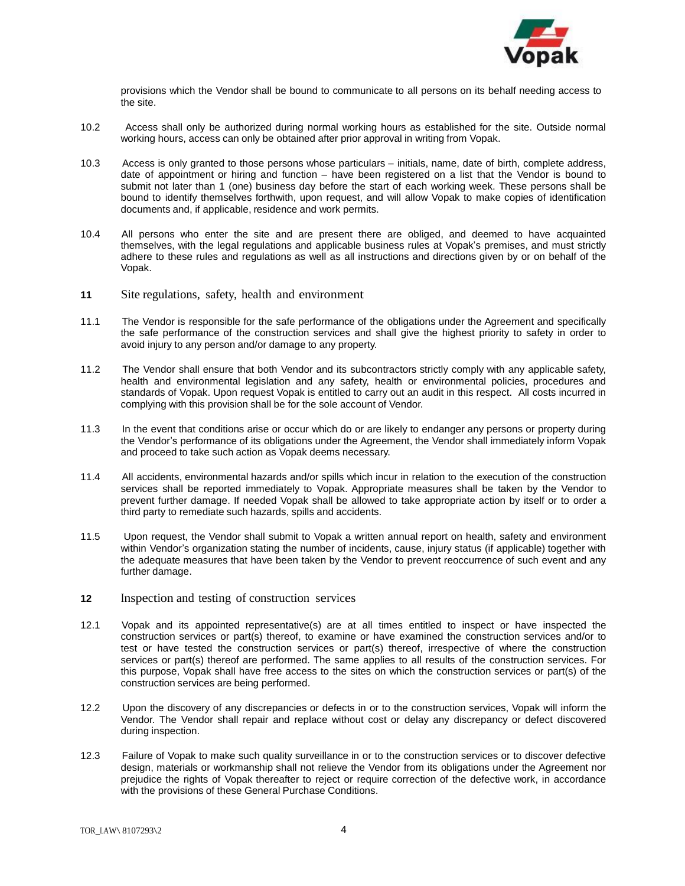

provisions which the Vendor shall be bound to communicate to all persons on its behalf needing access to the site.

- 10.2 Access shall only be authorized during normal working hours as established for the site. Outside normal working hours, access can only be obtained after prior approval in writing from Vopak.
- 10.3 Access is only granted to those persons whose particulars initials, name, date of birth, complete address, date of appointment or hiring and function – have been registered on a list that the Vendor is bound to submit not later than 1 (one) business day before the start of each working week. These persons shall be bound to identify themselves forthwith, upon request, and will allow Vopak to make copies of identification documents and, if applicable, residence and work permits.
- 10.4 All persons who enter the site and are present there are obliged, and deemed to have acquainted themselves, with the legal regulations and applicable business rules at Vopak's premises, and must strictly adhere to these rules and regulations as well as all instructions and directions given by or on behalf of the Vopak.
- 11 Site regulations, safety, health and environment
- 11.1 The Vendor is responsible for the safe performance of the obligations under the Agreement and specifically the safe performance of the construction services and shall give the highest priority to safety in order to avoid injury to any person and/or damage to any property.
- 11.2 The Vendor shall ensure that both Vendor and its subcontractors strictly comply with any applicable safety, health and environmental legislation and any safety, health or environmental policies, procedures and standards of Vopak. Upon request Vopak is entitled to carry out an audit in this respect. All costs incurred in complying with this provision shall be for the sole account of Vendor.
- 11.3 In the event that conditions arise or occur which do or are likely to endanger any persons or property during the Vendor's performance of its obligations under the Agreement, the Vendor shall immediately inform Vopak and proceed to take such action as Vopak deems necessary.
- 11.4 All accidents, environmental hazards and/or spills which incur in relation to the execution of the construction services shall be reported immediately to Vopak. Appropriate measures shall be taken by the Vendor to prevent further damage. If needed Vopak shall be allowed to take appropriate action by itself or to order a third party to remediate such hazards, spills and accidents.
- 11.5 Upon request, the Vendor shall submit to Vopak a written annual report on health, safety and environment within Vendor's organization stating the number of incidents, cause, injury status (if applicable) together with the adequate measures that have been taken by the Vendor to prevent reoccurrence of such event and any further damage.
- **12** Inspection and testing of construction services
- 12.1 Vopak and its appointed representative(s) are at all times entitled to inspect or have inspected the construction services or part(s) thereof, to examine or have examined the construction services and/or to test or have tested the construction services or part(s) thereof, irrespective of where the construction services or part(s) thereof are performed. The same applies to all results of the construction services. For this purpose, Vopak shall have free access to the sites on which the construction services or part(s) of the construction services are being performed.
- 12.2 Upon the discovery of any discrepancies or defects in or to the construction services, Vopak will inform the Vendor. The Vendor shall repair and replace without cost or delay any discrepancy or defect discovered during inspection.
- 12.3 Failure of Vopak to make such quality surveillance in or to the construction services or to discover defective design, materials or workmanship shall not relieve the Vendor from its obligations under the Agreement nor prejudice the rights of Vopak thereafter to reject or require correction of the defective work, in accordance with the provisions of these General Purchase Conditions.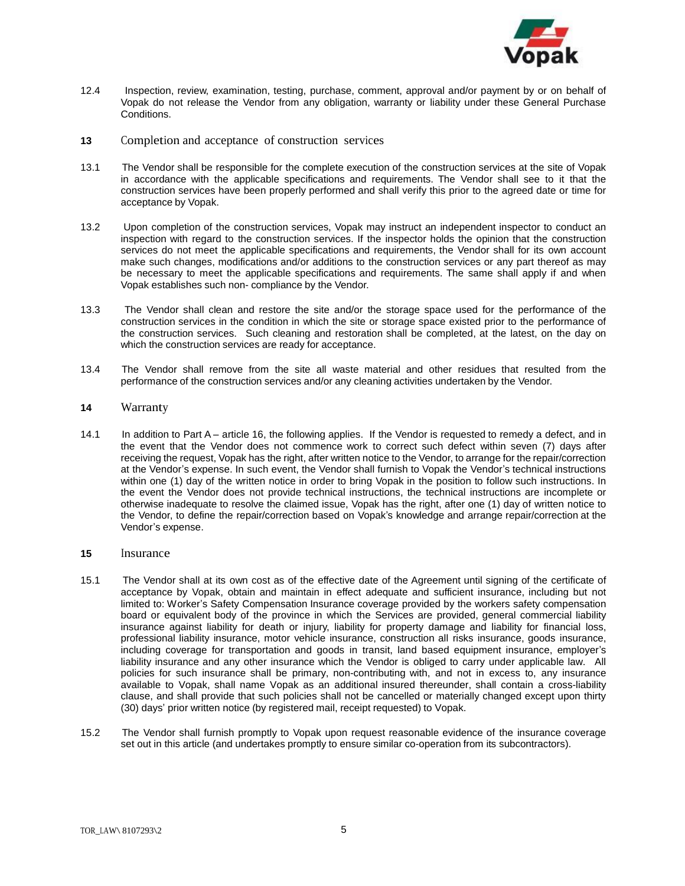

- 12.4 Inspection, review, examination, testing, purchase, comment, approval and/or payment by or on behalf of Vopak do not release the Vendor from any obligation, warranty or liability under these General Purchase Conditions.
- **13** Completion and acceptance of construction services
- 13.1 The Vendor shall be responsible for the complete execution of the construction services at the site of Vopak in accordance with the applicable specifications and requirements. The Vendor shall see to it that the construction services have been properly performed and shall verify this prior to the agreed date or time for acceptance by Vopak.
- 13.2 Upon completion of the construction services, Vopak may instruct an independent inspector to conduct an inspection with regard to the construction services. If the inspector holds the opinion that the construction services do not meet the applicable specifications and requirements, the Vendor shall for its own account make such changes, modifications and/or additions to the construction services or any part thereof as may be necessary to meet the applicable specifications and requirements. The same shall apply if and when Vopak establishes such non- compliance by the Vendor.
- 13.3 The Vendor shall clean and restore the site and/or the storage space used for the performance of the construction services in the condition in which the site or storage space existed prior to the performance of the construction services. Such cleaning and restoration shall be completed, at the latest, on the day on which the construction services are ready for acceptance.
- 13.4 The Vendor shall remove from the site all waste material and other residues that resulted from the performance of the construction services and/or any cleaning activities undertaken by the Vendor.

#### **<sup>14</sup>**Warranty

14.1 In addition to Part A – article 16, the following applies. If the Vendor is requested to remedy a defect, and in the event that the Vendor does not commence work to correct such defect within seven (7) days after receiving the request, Vopak has the right, after written notice to the Vendor, to arrange for the repair/correction at the Vendor's expense. In such event, the Vendor shall furnish to Vopak the Vendor's technical instructions within one (1) day of the written notice in order to bring Vopak in the position to follow such instructions. In the event the Vendor does not provide technical instructions, the technical instructions are incomplete or otherwise inadequate to resolve the claimed issue, Vopak has the right, after one (1) day of written notice to the Vendor, to define the repair/correction based on Vopak's knowledge and arrange repair/correction at the Vendor's expense.

#### **15** Insurance

- 15.1 The Vendor shall at its own cost as of the effective date of the Agreement until signing of the certificate of acceptance by Vopak, obtain and maintain in effect adequate and sufficient insurance, including but not limited to: Worker's Safety Compensation Insurance coverage provided by the workers safety compensation board or equivalent body of the province in which the Services are provided, general commercial liability insurance against liability for death or injury, liability for property damage and liability for financial loss, professional liability insurance, motor vehicle insurance, construction all risks insurance, goods insurance, including coverage for transportation and goods in transit, land based equipment insurance, employer's liability insurance and any other insurance which the Vendor is obliged to carry under applicable law. All policies for such insurance shall be primary, non-contributing with, and not in excess to, any insurance available to Vopak, shall name Vopak as an additional insured thereunder, shall contain a cross-liability clause, and shall provide that such policies shall not be cancelled or materially changed except upon thirty (30) days' prior written notice (by registered mail, receipt requested) to Vopak.
- 15.2 The Vendor shall furnish promptly to Vopak upon request reasonable evidence of the insurance coverage set out in this article (and undertakes promptly to ensure similar co-operation from its subcontractors).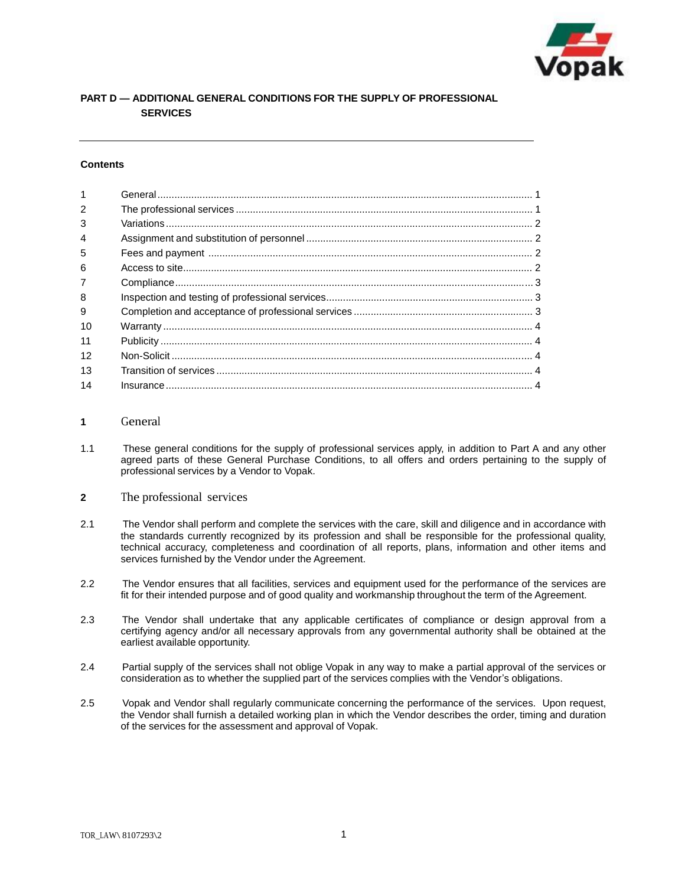

# **PART D — ADDITIONAL GENERAL CONDITIONS FOR THE SUPPLY OF PROFESSIONAL SERVICES**

#### **Contents**

# **1** General

- 1.1 These general conditions for the supply of professional services apply, in addition to Part A and any other agreed parts of these General Purchase Conditions, to all offers and orders pertaining to the supply of professional services by a Vendor to Vopak.
- **2** The professional services
- 2.1 The Vendor shall perform and complete the services with the care, skill and diligence and in accordance with the standards currently recognized by its profession and shall be responsible for the professional quality, technical accuracy, completeness and coordination of all reports, plans, information and other items and services furnished by the Vendor under the Agreement.
- 2.2 The Vendor ensures that all facilities, services and equipment used for the performance of the services are fit for their intended purpose and of good quality and workmanship throughout the term of the Agreement.
- 2.3 The Vendor shall undertake that any applicable certificates of compliance or design approval from a certifying agency and/or all necessary approvals from any governmental authority shall be obtained at the earliest available opportunity.
- 2.4 Partial supply of the services shall not oblige Vopak in any way to make a partial approval of the services or consideration as to whether the supplied part of the services complies with the Vendor's obligations.
- 2.5 Vopak and Vendor shall regularly communicate concerning the performance of the services. Upon request, the Vendor shall furnish a detailed working plan in which the Vendor describes the order, timing and duration of the services for the assessment and approval of Vopak.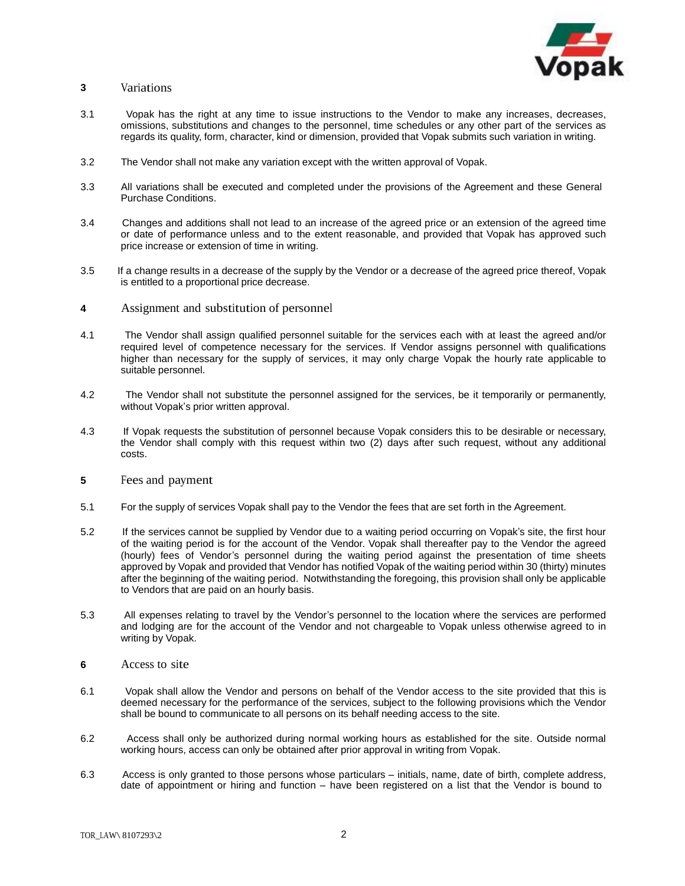

#### **<sup>3</sup>** Variations

- 3.1 Vopak has the right at any time to issue instructions to the Vendor to make any increases, decreases, omissions, substitutions and changes to the personnel, time schedules or any other part of the services as regards its quality, form, character, kind or dimension, provided that Vopak submits such variation in writing.
- 3.2 The Vendor shall not make any variation except with the written approval of Vopak.
- 3.3 All variations shall be executed and completed under the provisions of the Agreement and these General Purchase Conditions.
- 3.4 Changes and additions shall not lead to an increase of the agreed price or an extension of the agreed time or date of performance unless and to the extent reasonable, and provided that Vopak has approved such price increase or extension of time in writing.
- 3.5 If a change results in a decrease of the supply by the Vendor or a decrease of the agreed price thereof, Vopak is entitled to a proportional price decrease.
- **<sup>4</sup>**Assignment and substitution of personnel
- 4.1 The Vendor shall assign qualified personnel suitable for the services each with at least the agreed and/or required level of competence necessary for the services. If Vendor assigns personnel with qualifications higher than necessary for the supply of services, it may only charge Vopak the hourly rate applicable to suitable personnel.
- 4.2 The Vendor shall not substitute the personnel assigned for the services, be it temporarily or permanently, without Vopak's prior written approval.
- 4.3 If Vopak requests the substitution of personnel because Vopak considers this to be desirable or necessary, the Vendor shall comply with this request within two (2) days after such request, without any additional costs.
- **5** Fees and payment
- 5.1 For the supply of services Vopak shall pay to the Vendor the fees that are set forth in the Agreement.
- 5.2 If the services cannot be supplied by Vendor due to a waiting period occurring on Vopak's site, the first hour of the waiting period is for the account of the Vendor. Vopak shall thereafter pay to the Vendor the agreed (hourly) fees of Vendor's personnel during the waiting period against the presentation of time sheets approved by Vopak and provided that Vendor has notified Vopak of the waiting period within 30 (thirty) minutes after the beginning of the waiting period. Notwithstanding the foregoing, this provision shall only be applicable to Vendors that are paid on an hourly basis.
- 5.3 All expenses relating to travel by the Vendor's personnel to the location where the services are performed and lodging are for the account of the Vendor and not chargeable to Vopak unless otherwise agreed to in writing by Vopak.
- **<sup>6</sup>**Access to site
- 6.1 Vopak shall allow the Vendor and persons on behalf of the Vendor access to the site provided that this is deemed necessary for the performance of the services, subject to the following provisions which the Vendor shall be bound to communicate to all persons on its behalf needing access to the site.
- 6.2 Access shall only be authorized during normal working hours as established for the site. Outside normal working hours, access can only be obtained after prior approval in writing from Vopak.
- 6.3 Access is only granted to those persons whose particulars initials, name, date of birth, complete address, date of appointment or hiring and function – have been registered on a list that the Vendor is bound to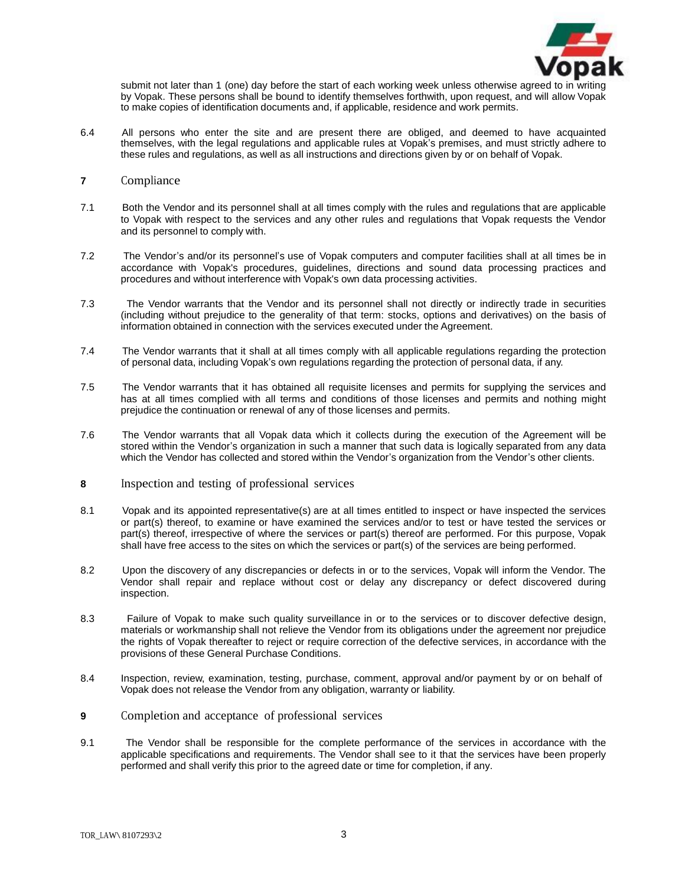

submit not later than 1 (one) day before the start of each working week unless otherwise agreed to in  $\overline{w}$ by Vopak. These persons shall be bound to identify themselves forthwith, upon request, and will allow Vopak to make copies of identification documents and, if applicable, residence and work permits.

- 6.4 All persons who enter the site and are present there are obliged, and deemed to have acquainted themselves, with the legal regulations and applicable rules at Vopak's premises, and must strictly adhere to these rules and regulations, as well as all instructions and directions given by or on behalf of Vopak.
- **7** Compliance
- 7.1 Both the Vendor and its personnel shall at all times comply with the rules and regulations that are applicable to Vopak with respect to the services and any other rules and regulations that Vopak requests the Vendor and its personnel to comply with.
- 7.2 The Vendor's and/or its personnel's use of Vopak computers and computer facilities shall at all times be in accordance with Vopak's procedures, guidelines, directions and sound data processing practices and procedures and without interference with Vopak's own data processing activities.
- 7.3 The Vendor warrants that the Vendor and its personnel shall not directly or indirectly trade in securities (including without prejudice to the generality of that term: stocks, options and derivatives) on the basis of information obtained in connection with the services executed under the Agreement.
- 7.4 The Vendor warrants that it shall at all times comply with all applicable regulations regarding the protection of personal data, including Vopak's own regulations regarding the protection of personal data, if any.
- 7.5 The Vendor warrants that it has obtained all requisite licenses and permits for supplying the services and has at all times complied with all terms and conditions of those licenses and permits and nothing might prejudice the continuation or renewal of any of those licenses and permits.
- 7.6 The Vendor warrants that all Vopak data which it collects during the execution of the Agreement will be stored within the Vendor's organization in such a manner that such data is logically separated from any data which the Vendor has collected and stored within the Vendor's organization from the Vendor's other clients.
- **<sup>8</sup>**Inspection and testing of professional services
- 8.1 Vopak and its appointed representative(s) are at all times entitled to inspect or have inspected the services or part(s) thereof, to examine or have examined the services and/or to test or have tested the services or part(s) thereof, irrespective of where the services or part(s) thereof are performed. For this purpose, Vopak shall have free access to the sites on which the services or part(s) of the services are being performed.
- 8.2 Upon the discovery of any discrepancies or defects in or to the services, Vopak will inform the Vendor. The Vendor shall repair and replace without cost or delay any discrepancy or defect discovered during inspection.
- 8.3 Failure of Vopak to make such quality surveillance in or to the services or to discover defective design, materials or workmanship shall not relieve the Vendor from its obligations under the agreement nor prejudice the rights of Vopak thereafter to reject or require correction of the defective services, in accordance with the provisions of these General Purchase Conditions.
- 8.4 Inspection, review, examination, testing, purchase, comment, approval and/or payment by or on behalf of Vopak does not release the Vendor from any obligation, warranty or liability.
- **9** Completion and acceptance of professional services
- 9.1 The Vendor shall be responsible for the complete performance of the services in accordance with the applicable specifications and requirements. The Vendor shall see to it that the services have been properly performed and shall verify this prior to the agreed date or time for completion, if any.